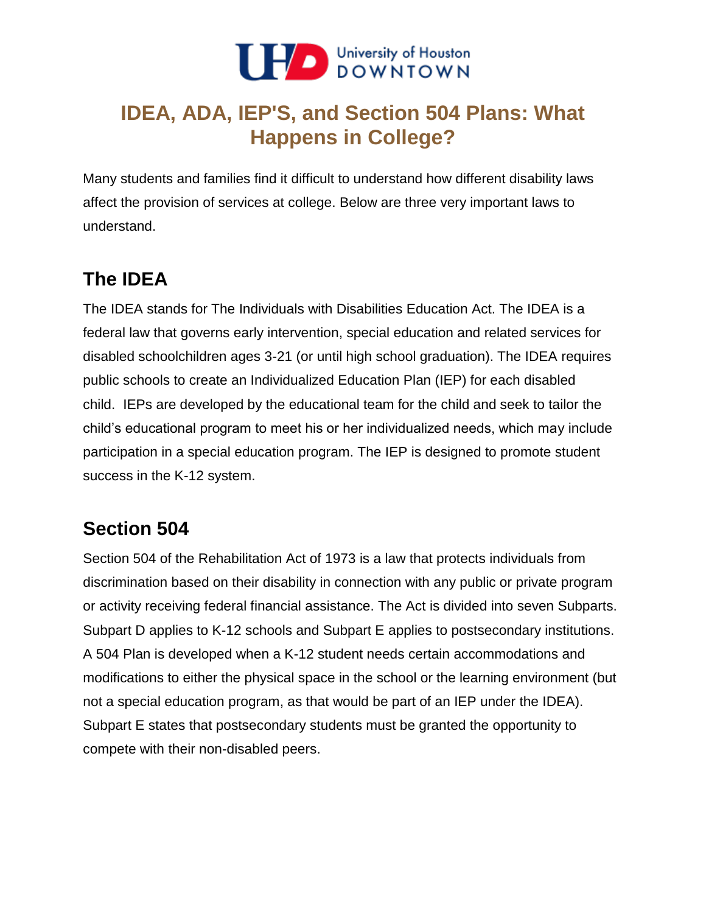

# **IDEA, ADA, IEP'S, and Section 504 Plans: What Happens in College?**

Many students and families find it difficult to understand how different disability laws affect the provision of services at college. Below are three very important laws to understand.

## **The IDEA**

 disabled schoolchildren ages 3-21 (or until high school graduation). The IDEA requires public schools to create an Individualized Education Plan (IEP) for each disabled child. IEPs are developed by the educational team for the child and seek to tailor the The IDEA stands for The Individuals with Disabilities Education Act. The IDEA is a federal law that governs early intervention, special education and related services for child's educational program to meet his or her individualized needs, which may include participation in a special education program. The IEP is designed to promote student success in the K-12 system.

#### **Section 504**

 modifications to either the physical space in the school or the learning environment (but not a special education program, as that would be part of an IEP under the IDEA). compete with their non-disabled peers. Section 504 of the Rehabilitation Act of 1973 is a law that protects individuals from discrimination based on their disability in connection with any public or private program or activity receiving federal financial assistance. The Act is divided into seven Subparts. Subpart D applies to K-12 schools and Subpart E applies to postsecondary institutions. A 504 Plan is developed when a K-12 student needs certain accommodations and Subpart E states that postsecondary students must be granted the opportunity to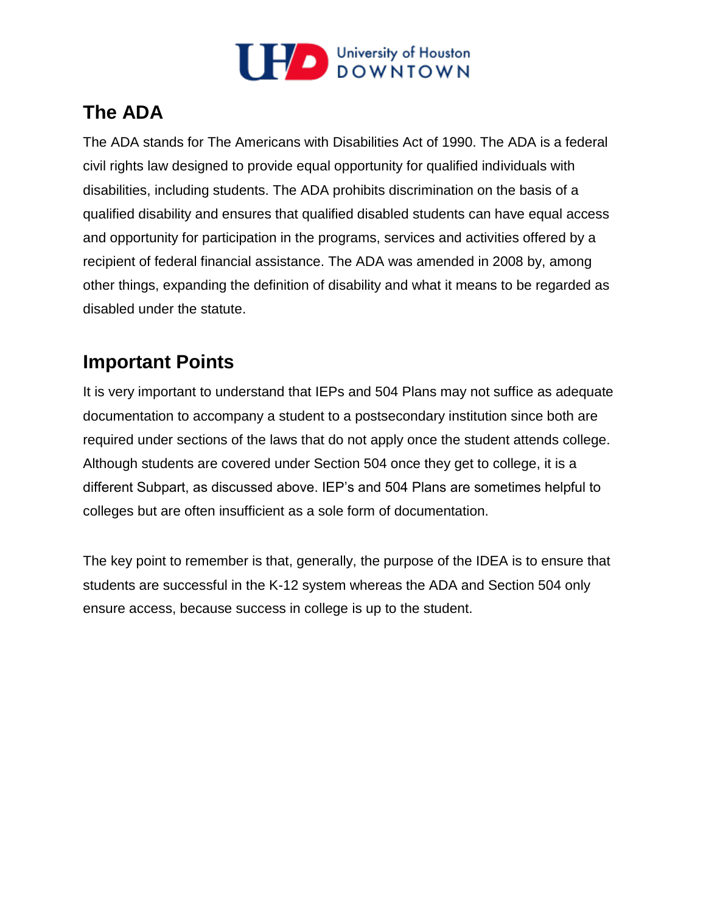

## **The ADA**

 disabilities, including students. The ADA prohibits discrimination on the basis of a and opportunity for participation in the programs, services and activities offered by a The ADA stands for The Americans with Disabilities Act of 1990. The ADA is a federal civil rights law designed to provide equal opportunity for qualified individuals with qualified disability and ensures that qualified disabled students can have equal access recipient of federal financial assistance. The ADA was amended in 2008 by, among other things, expanding the definition of disability and what it means to be regarded as disabled under the statute.

#### **Important Points**

 documentation to accompany a student to a postsecondary institution since both are It is very important to understand that IEPs and 504 Plans may not suffice as adequate required under sections of the laws that do not apply once the student attends college. Although students are covered under Section 504 once they get to college, it is a different Subpart, as discussed above. IEP's and 504 Plans are sometimes helpful to colleges but are often insufficient as a sole form of documentation.

 The key point to remember is that, generally, the purpose of the IDEA is to ensure that students are successful in the K-12 system whereas the ADA and Section 504 only ensure access, because success in college is up to the student.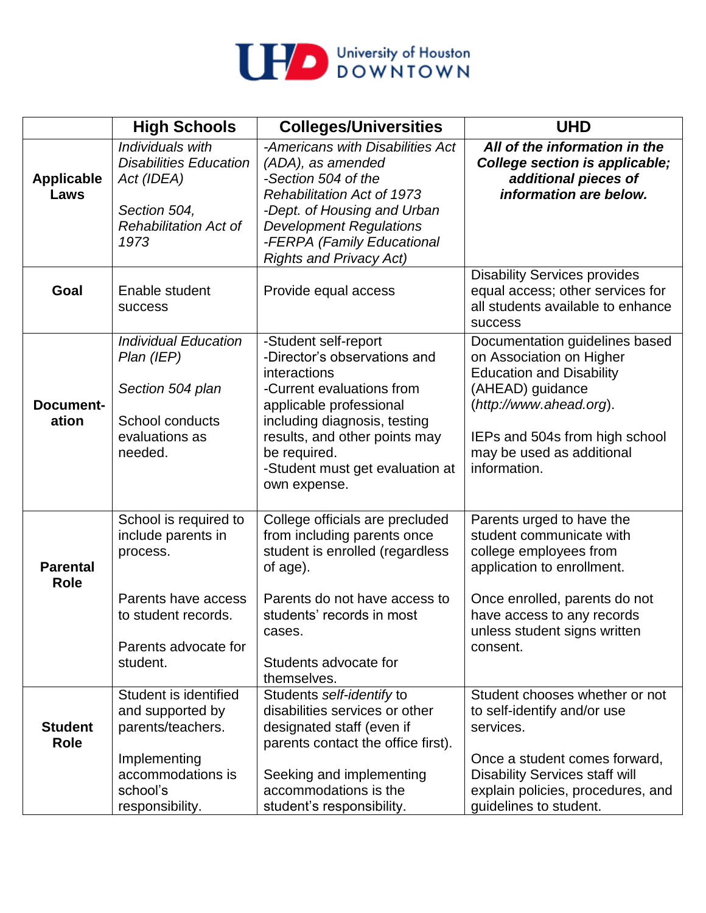

|                                | <b>High Schools</b>                                                                                                                       | <b>Colleges/Universities</b>                                                                                                                                                                                                                                     | <b>UHD</b>                                                                                                                                                                                                                  |
|--------------------------------|-------------------------------------------------------------------------------------------------------------------------------------------|------------------------------------------------------------------------------------------------------------------------------------------------------------------------------------------------------------------------------------------------------------------|-----------------------------------------------------------------------------------------------------------------------------------------------------------------------------------------------------------------------------|
| <b>Applicable</b><br>Laws      | Individuals with<br><b>Disabilities Education</b><br>Act (IDEA)<br>Section 504,<br><b>Rehabilitation Act of</b><br>1973                   | -Americans with Disabilities Act<br>(ADA), as amended<br>-Section 504 of the<br><b>Rehabilitation Act of 1973</b><br>-Dept. of Housing and Urban<br><b>Development Regulations</b><br>-FERPA (Family Educational<br><b>Rights and Privacy Act)</b>               | All of the information in the<br>College section is applicable;<br>additional pieces of<br>information are below.                                                                                                           |
| Goal                           | Enable student<br><b>SUCCESS</b>                                                                                                          | Provide equal access                                                                                                                                                                                                                                             | <b>Disability Services provides</b><br>equal access; other services for<br>all students available to enhance<br><b>success</b>                                                                                              |
| <b>Document-</b><br>ation      | <b>Individual Education</b><br>Plan (IEP)<br>Section 504 plan<br>School conducts<br>evaluations as<br>needed.                             | -Student self-report<br>-Director's observations and<br>interactions<br>-Current evaluations from<br>applicable professional<br>including diagnosis, testing<br>results, and other points may<br>be required.<br>-Student must get evaluation at<br>own expense. | Documentation guidelines based<br>on Association on Higher<br><b>Education and Disability</b><br>(AHEAD) guidance<br>(http://www.ahead.org).<br>IEPs and 504s from high school<br>may be used as additional<br>information. |
| <b>Parental</b><br><b>Role</b> | School is required to<br>include parents in<br>process.<br>Parents have access<br>to student records.<br>Parents advocate for<br>student. | College officials are precluded<br>from including parents once<br>student is enrolled (regardless<br>of age).<br>Parents do not have access to<br>students' records in most<br>cases.<br>Students advocate for<br>themselves.                                    | Parents urged to have the<br>student communicate with<br>college employees from<br>application to enrollment.<br>Once enrolled, parents do not<br>have access to any records<br>unless student signs written<br>consent.    |
| <b>Student</b><br><b>Role</b>  | Student is identified<br>and supported by<br>parents/teachers.<br>Implementing<br>accommodations is<br>school's<br>responsibility.        | Students self-identify to<br>disabilities services or other<br>designated staff (even if<br>parents contact the office first).<br>Seeking and implementing<br>accommodations is the<br>student's responsibility.                                                 | Student chooses whether or not<br>to self-identify and/or use<br>services.<br>Once a student comes forward,<br><b>Disability Services staff will</b><br>explain policies, procedures, and<br>guidelines to student.         |